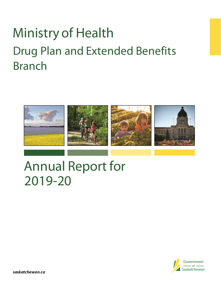# Ministry of Health Drug Plan and Extended Benefits Branch



# Annual Report for 2019-20

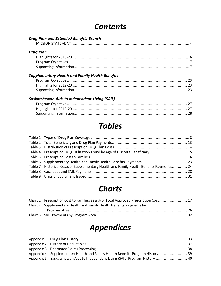### *Contents*

| Drug Plan and Extended Benefits Branch                 |  |
|--------------------------------------------------------|--|
|                                                        |  |
| <b>Drug Plan</b>                                       |  |
|                                                        |  |
|                                                        |  |
|                                                        |  |
| <b>Supplementary Health and Family Health Benefits</b> |  |
|                                                        |  |
|                                                        |  |
|                                                        |  |
| Saskatchewan Aids to Independent Living (SAIL)         |  |
|                                                        |  |
|                                                        |  |

### *Tables*

[Supporting Information..................................................................................................](#page-27-0) 28

| Table 4 Prescription Drug Utilization Trend by Age of Discrete Beneficiary 15           |
|-----------------------------------------------------------------------------------------|
|                                                                                         |
|                                                                                         |
| Table 7 Historical Costs of Supplementary Health and Family Health Benefits Payments 24 |
|                                                                                         |
|                                                                                         |
|                                                                                         |

### *Charts*

| Chart 1 Prescription Cost to Families as a % of Total Approved Prescription Cost 17 |  |
|-------------------------------------------------------------------------------------|--|
| Chart 2 Supplementary Health and Family Health Benefits Payments by                 |  |
|                                                                                     |  |
|                                                                                     |  |

### *Appendices*

| Appendix 4 Supplementary Health and Family Health Benefits Program History 39 |  |
|-------------------------------------------------------------------------------|--|
| Appendix 5 Saskatchewan Aids to Independent Living (SAIL) Program History 40  |  |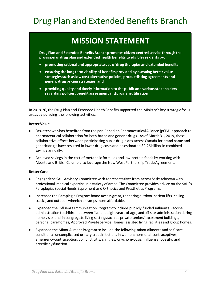### <span id="page-3-0"></span>Drug Plan and Extended Benefits Branch

### **MISSION STATEMENT**

**Drug Plan and Extended Benefits Branchpromotes citizen-centred service through the provision of drug plan and extended health benefits to eligible residents by:**

- **promoting rational and appropriate use of drug therapies and extended benefits;**
- **ensuring the long term viability of benefits provided by pursuing better value strategies such as low cost alternative policies, product listing agreements and generic drug pricing strategies; and,**
- **providing quality and timely information to the public and various stakeholders regarding policies, benefit assessment and program utilization.**

In 2019-20, the Drug Plan and Extended Health Benefits supported the Ministry's key strategic focus areas by pursuing the following activities:

#### **Better Value**

- Saskatchewan has benefited from the pan-Canadian Pharmaceutical Alliance (pCPA) approach to pharmaceutical collaboration for both brand and generic drugs. As of March 31, 2019, these collaborative efforts between participating public drug plans across Canada for brand name and generic drugs have resulted in lower drug costs and an estimated \$2.26 billion in combined savings annually.
- Achieved savings in the cost of metabolic formulas and low protein foods by working with Alberta and British Columbia to leverage the New West Partnership Trade Agreement.

#### **Better Care**

- Engaged the SAIL Advisory Committee with representatives from across Saskatchewan with professional medical expertise in a variety of areas. The Committee provides advice on the SAIL's Paraplegia, Special Needs Equipment and Orthotics and Prosthetics Programs.
- Increased the Paraplegia Program home access grant, rendering outdoor patient lifts, ceiling tracks, and outdoor wheelchair ramps more affordable.
- Expanded the Influenza Immunization Program to include publicly funded influenza vaccine administration to children between five and eight years of age, and off-site administration during home visits and in congregate living settings such as private seniors' apartment buildings, personal care homes, Approved Private Service Homes, assisted living facilities and group homes.
- Expanded the Minor Ailment Program to include the following minor ailments and self-care conditions: uncomplicated urinary tract infections in women; hormonal contraceptives; emergency contraception; conjunctivitis; shingles; onychomycosis; influenza; obesity; and erectile dysfunction.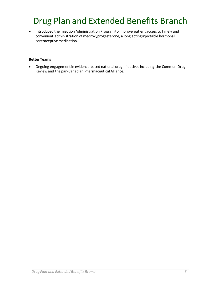## Drug Plan and Extended Benefits Branch

• Introduced the Injection Administration Program to improve patient access to timely and convenient administration of medroxyprogesterone, a long acting injectable hormonal contraceptive medication.

#### **Better Teams**

• Ongoing engagement in evidence-based national drug initiatives including the Common Drug Review and the pan-Canadian Pharmaceutical Alliance.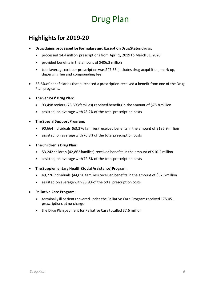### <span id="page-5-0"></span>**Highlights for 2019-20**

- **Drug claims processed for Formulary and Exception Drug Status drugs:**
	- processed 14.4million prescriptions from April 1, 2019 to March31, 2020
	- provided benefits in the amount of \$406.2 million
	- total average cost per prescription was \$47.33 (includes drug acquisition, mark-up, dispensing fee and compounding fee)
- 63.5% of beneficiaries that purchased a prescription received a benefit from one of the Drug Plan programs.
- **The Seniors' Drug Plan:**
	- 93,498 seniors (78,593 families) received benefits in the amount of \$75.8million
	- assisted, on average with 78.2% of the total prescription costs
- **The Special Support Program:**
	- 90,664 individuals (63,276 families) received benefits in the amount of \$186.9million
	- assisted, on average with 76.8% of the total prescription costs
- **The Children's Drug Plan:**
	- 53,242 children (42,862 families) received benefits in the amount of \$10.2 million
	- assisted, on average with72.6% of the total prescription costs
- **The Supplementary Health (Social Assistance) Program:**
	- 49,276 individuals (44,050 families) received benefits in the amount of \$67.6million
	- assisted on average with 98.9% of the total prescription costs
- **Palliative Care Program:**
	- terminally ill patients covered under the Palliative Care Program received 175,051 prescriptions at no charge
	- the Drug Plan payment for Palliative Care totalled \$7.6 million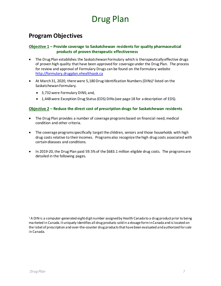### <span id="page-6-0"></span>**Program Objectives**

#### **Objective 1 – Provide coverage to Saskatchewan residents for quality pharmaceutical products of proven therapeutic effectiveness**

- The Drug Plan establishes the Saskatchewan Formulary which is therapeutically effective drugs of proven high quality that have been approved for coverage under the Drug Plan. The process for review and approval of Formulary Drugs can be found on the Formulary website [http://formulary.drugplan.ehealthsask.ca](http://formulary.drugplan.ehealthsask.ca/)
- At March 31, 2020, there were 5,180 Drug Identification Numbers (DINs)<sup>1</sup> listed on the Saskatchewan Formulary.
	- 3,732were Formulary DINS; and,
	- 1,448were Exception Drug Status(EDS) DINs(see page 18 for a description of EDS).

#### **Objective 2 – Reduce the direct cost of prescription drugs for Saskatchewan residents**

- The Drug Plan provides a number of coverage programs based on financial need, medical condition and other criteria.
- The coverage programs specifically target the children, seniors and those households with high drug costs relative to their incomes. Programs also recognize the high drug costs associated with certain diseases and conditions.
- In 2019-20, the Drug Plan paid 59.5% of the \$683.1 million eligible drug costs. The programs are detailed in the following pages.

<sup>1</sup> A DIN is a computer-generated eight digit number assigned by Health Canada to a drug product prior to being marketed in Canada. It uniquely identifies all drug products sold in a dosage form in Canada and is located on the label of prescription and over-the-counter drug products that have been evaluated and authorized for sale in Canada.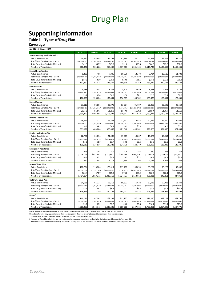### <span id="page-7-0"></span>**Supporting Information**

#### **Table 1 Types of Drug Plan**

#### **Coverage**

| April 2019 - March 2020                                         |                    |                         |                        |                        |                        |                     |                     |                          |
|-----------------------------------------------------------------|--------------------|-------------------------|------------------------|------------------------|------------------------|---------------------|---------------------|--------------------------|
|                                                                 | 2012-13            | 2013-14                 | 2014-15                | 2015-16                | 2016-17                | 2017-18             | 2018-19             | 2019-20                  |
| <b>Supplementary Health Benefits</b>                            |                    |                         |                        |                        |                        |                     |                     |                          |
| <b>Actual Beneficiaries</b>                                     | 44.970             | 43.698                  | 44.751                 | 47.389                 | 50.721                 | 51.658              | 52.304              | 49.276                   |
| Total Drug Benefits Paid - Gov't                                | \$41,312,427.2     | \$42,663,409.8          | \$45,538,108.1         | \$50,955,150.3         | \$55,828,021.5         | \$65,979,678.0      | \$67,569,955.0      | \$67,627,526.3           |
| <b>Total Drug Benefits Paid (Millions)</b>                      | \$41.3             | \$42.7                  | \$45.5                 | \$51.0                 | \$55.8                 | \$66.0              | \$67.6              | \$67.6                   |
| Number of Prescriptions                                         | 910,347            | 904,228                 | 958,348                | 1,017,763              | 1,081,164              | 1,115,746           | 1,130,665           | 1,155,631                |
| <b>Special Beneficiaries</b>                                    |                    |                         |                        |                        |                        |                     |                     |                          |
| <b>Actual Beneficiaries</b>                                     | 5,439              | 5,488                   | 7,046                  | 10,820                 | 12,273                 | 9,724               | 10,618              | 11,703                   |
| Total Drug Benefits Paid - Gov't                                | \$18,888,542.8     | \$19,995,930.3          | \$20,254,797.8         | \$20,923,830.4         | \$21,588,017.3         | \$21,119,625.0      | \$32,321,751.0      | \$35,224,443.9           |
| <b>Total Drug Benefits Paid (Millions)</b>                      | \$18.9             | \$20.0                  | \$20.3                 | \$20.9                 | \$21.6                 | \$21.1              | \$32.3              | \$35.2                   |
| Number of Prescriptions                                         | 161,862            | 167,025                 | 173,602                | 180,818                | 186,159                | 183,437             | 210,547             | 220,523                  |
| <b>Palliative Care</b>                                          |                    |                         |                        |                        |                        |                     |                     |                          |
| <b>Actual Beneficiaries</b>                                     | 3,183              | 3,335                   | 3,437                  | 3,503                  | 3,650                  | 3,858               | 4,015               | 4,159                    |
| Total Drug Benefits Paid - Gov't                                | \$5,654,799.1      | \$6,398,018.3           | \$6,781,537.6          | \$6,986,818.2          | \$7,132,677.2          | \$7,272,241.0       | \$7,146,498.5       | \$7,601,777.9            |
| <b>Total Drug Benefits Paid (Millions)</b>                      | \$5.7              | \$6.4                   | \$6.8                  | \$7.0                  | \$7.1                  | \$7.3               | \$7.1               | \$7.6                    |
| Number of Prescriptions                                         | 116,598            | 126,624                 | 132,801                | 136,515                | 144,782                | 153,930             | 160,954             | 175,051                  |
| <b>Special Support</b>                                          |                    |                         |                        |                        |                        |                     |                     |                          |
| <b>Actual Beneficiaries</b>                                     | 97.013             | 92,896                  | 93.970                 | 93.084                 | 91.707                 | 90.480              | 90,695              | 90.664                   |
| Total Drug Benefits Paid - Gov't                                | \$124,951,543.3    | \$127,412,346.7         | \$135,841,374.1        | \$149,024,997.6        | \$154,221,976.2        | \$165,398,651.0     | \$176,724,833.0     | \$186,974,636.6          |
| <b>Total Drug Benefits Paid (Millions)</b>                      | \$125.0            | \$127.4                 | \$135.8                | \$149.0                | \$154.2                | \$165.4             | \$176.7             | \$187.0                  |
| Number of Prescriptions                                         | 3,650,423          | 3,491,895               | 3,606,823              | 3,610,317              | 3,665,042              | 3,639,311           | 3,682,584           | 3,677,409                |
| <b>Income Supplement</b>                                        |                    |                         |                        |                        |                        |                     |                     |                          |
| <b>Actual Beneficiaries</b>                                     | 16,551             | 17,172                  | 16,261                 | 17,711                 | 19,548                 | 20,249              | 19,600              | 20,905                   |
| Total Drug Benefits Paid - Gov't                                | \$4,834,912.1      | \$4,876,869.9           | \$4,689,833.7          | \$4,860,828.6          | \$5,405,426.1          | \$5,469,964.0       | \$4,846,174.0       | \$5,175,092.3            |
| <b>Total Drug Benefits Paid (Millions)</b>                      | \$4.8              | \$4.9                   | \$4.7                  | \$4.9                  | \$5.4                  | \$5.5               | \$4.8               | \$5.2                    |
| Number of Prescriptions                                         | 391,121            | 405,084                 | 388,803                | 421,040                | 496,281                | 521,066             | 534,486             | 574,604                  |
| <b>Family Health Benefits</b>                                   |                    |                         |                        |                        |                        |                     |                     |                          |
| <b>Actual Beneficiaries</b>                                     | 22,766             | 22,034                  | 21,086                 | 19,969                 | 19,807                 | 19,676              | 18,914              | 17,418                   |
| Total Drug Benefits Paid - Gov't                                | \$3,815,924.6      | \$3,694,379.2           | \$3,664,616.2          | \$3,494,500.8          | \$3,588,085.2          | \$3,795,184.8       | \$3,848,616.0       | \$3,874,234.0            |
| <b>Total Drug Benefits Paid (Millions)</b>                      | \$3.8              | \$3.7                   | \$3.7                  | \$3.5                  | \$3.6                  | \$3.8               | \$3.8               | \$3.9                    |
| Number of Prescriptions                                         | 139,019            | 134,616                 | 130,322                | 124,770                | 124,349                | 126,066             | 125,838             | 120,395                  |
| <b>Emergency Assistance</b>                                     |                    |                         |                        |                        |                        |                     |                     |                          |
| <b>Actual Beneficiaries</b>                                     | 275                | 307                     | 315                    | 406                    | 387                    | 410                 | 293                 | 267                      |
| Total Drug Benefits Paid - Gov't                                | \$113,127          | \$121,262               | \$153,991              | \$152,845              | \$194,726              | \$174,656           | \$84,636            | \$94,352                 |
| Total Drug Benefits Paid (Millions)                             | \$0.1              | \$0.1                   | \$0.2                  | \$0.2                  | \$0.2                  | \$0.2               | \$0.1               | \$0.1                    |
| Number of Prescriptions                                         | 870                | 992                     | 1,113                  | 1,299                  | 1,108                  | 1,183               | 1,011               | 933                      |
|                                                                 |                    |                         |                        |                        |                        |                     |                     |                          |
| Seniors' Drug Plan<br><b>Actual Beneficiaries</b>               | 117,254            | 118,786                 | 120,514                | 119,707                | 108,054                | 99,271              | 95,223              | 93,498                   |
| Total Drug Benefits Paid - Gov't                                | \$68,356,115.4     | \$73,735,160.3          | \$75,886,752.5         | \$73,814,405.5         | \$64,921,861.3         | \$67,964,931.0      | \$70,072,386.0      | \$75,845,279.2           |
| <b>Total Drug Benefits Paid (Millions)</b>                      | \$68.4             | \$73.7                  | \$75.9                 | \$73.8                 | \$64.9                 | \$68.0              | \$70.1              | \$75.8                   |
| Number of Prescriptions                                         | 1,764,104          | 1,810,372               | 1,829,618              | 1,724,737              | 1,153,612              | 985,031             | 842,261             | 847,012                  |
|                                                                 |                    |                         |                        |                        |                        |                     |                     |                          |
| <b>Children's Drug Plan</b>                                     | 54,035             |                         | 66,618                 | 68,892                 | 56,622                 | 52,125              | 52,008              | 53,242                   |
| <b>Actual Beneficiaries</b><br>Total Drug Benefits Paid - Gov't | \$5,532,446.8      | 61,331<br>\$6,214,758.3 | \$6,913,493.5          | \$7,662,545.1          | \$7,502,247.0          | \$8,106,993.4       | \$8,503,652.0       | \$10,241,190.7           |
| <b>Total Drug Benefits Paid (Millions)</b>                      | \$5.5              | \$6.2                   | \$6.9                  | \$7.7                  | \$7.5                  | \$8.1               | \$8.5               | \$10.2                   |
| Number of Prescriptions                                         | 149,865            | 172,289                 | 190,152                | 198,472                | 157,833                | 146,851             | 143,974             | 154,492                  |
| Other $^1$                                                      |                    |                         |                        |                        |                        |                     |                     |                          |
| Actual Beneficiaries <sup>2</sup>                               |                    |                         |                        |                        |                        |                     |                     |                          |
| Total Drug Benefits Paid - Gov't                                | 119,011            | 147,363                 | 162,294                | 212,157                | 247,156                | 279,230             | 322,102             | 361,798                  |
| <b>Total Drug Benefits Paid (Millions)</b>                      | \$5,123,234.8      | \$6,484,051.0           | \$7,249,467.6<br>\$7.2 | \$8,980,970.9<br>\$9.0 | \$9,588,707.3<br>\$9.6 | \$10,691,997.0      | \$11,402,444.0      | \$13,621,389.7<br>\$13.6 |
| Number of Prescriptions                                         | \$5.1<br>4,610,253 | \$6.5<br>5,046,745      | 5,238,235              | 5,660,518              | 6,337,665              | \$10.7<br>6,703,481 | \$11.4<br>7,064,299 | 7,507,776                |
|                                                                 |                    |                         |                        |                        |                        |                     |                     |                          |

Actual Beneficiaries are the number of total beneficiaries who received part or all of their drug cost paid by the Drug Plan.<br>1 Includes Special Fees, Standard Beneficiaries and Special Support (100% co-pay).<br>1 Includes Sp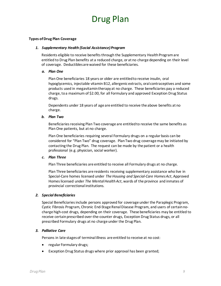#### **Types of Drug Plan Coverage**

#### *1. Supplementary Health (Social Assistance) Program*

Residents eligible to receive benefits through the Supplementary Health Programare entitled to Drug Plan benefits at a reduced charge, or at no charge depending on their level of coverage. Deductibles are waived for these beneficiaries.

#### *a. Plan One*

Plan One beneficiaries 18 years or older are entitled to receive insulin, oral hypoglycemics, injectable vitamin B12, allergenic extracts, oral contraceptives and some products used in megavitamin therapy at no charge. These beneficiaries pay a reduced charge, to a maximum of \$2.00, for all Formulary and approved Exception Drug Status drugs.

Dependents under 18 years of age are entitled to receive the above benefits at no charge.

#### *b. Plan Two*

Beneficiaries receiving Plan Two coverage are entitled to receive the same benefits as Plan One patients, but at no charge.

Plan One beneficiaries requiring several Formulary drugs on a regular basis can be considered for "Plan Two" drug coverage. Plan Two drug coverage may be initiated by contacting the Drug Plan. The request can be made by the patient or a health professional (e.g. physician, social worker).

#### *c. Plan Three*

Plan Three beneficiaries are entitled to receive all Formulary drugs at no charge.

Plan Three beneficiaries are residents receiving supplementary assistance who live in Special-Care homes licensed under *The Housing and Special-Care Homes Act*, Approved Homes licensed under *The Mental Health Act*, wards of the province and inmates of provincial correctional institutions.

#### *2. Special Beneficiaries*

Special Beneficiaries include persons approved for coverage under the Paraplegic Program, Cystic Fibrosis Program, Chronic End-Stage Renal Disease Program, and users of certain nocharge high-cost drugs, depending on their coverage. These beneficiaries may be entitled to receive certain prescribed over-the-counter drugs, Exception Drug Status drugs, or all prescribed Formulary drugs at no charge under the Drug Plan.

#### *3. Palliative Care*

Persons in late stages of terminal illness are entitled to receive at no cost:

- regular Formulary drugs;
- Exception Drug Status drugs where prior approval has been granted;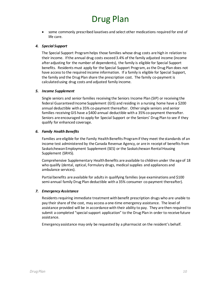• some commonly prescribed laxatives and select other medications required for end of life care.

#### *4. Special Support*

The Special Support Program helps those families whose drug costs are high in relation to their income. If the annual drug costs exceed 3.4% of the family adjusted income (income after adjusting for the number of dependents), the family is eligible for Special Support benefits. Residents must apply for the Special Support Program, as the Drug Plan does not have access to the required income information. If a family is eligible for Special Support, the family and the Drug Plan share the prescription cost. The family co-payment is calculated using drug costs and adjusted family income.

#### *5. Income Supplement*

Single seniors and senior families receiving the Seniors Income Plan (SIP) or receiving the federal Guaranteed Income Supplement (GIS) and residing in a nursing home have a \$200 annual deductible with a 35% co-payment thereafter. Other single seniors and senior families receiving GIS have a \$400 annual deductible with a 35% co-payment thereafter. Seniors are encouraged to apply for Special Support or the Seniors' Drug Plan to see if they qualify for enhanced coverage.

#### *6. Family Health Benefits*

Families are eligible for the Family Health Benefits Program if they meet the standards of an income test administered by the Canada Revenue Agency, or are in receipt of benefits from Saskatchewan Employment Supplement (SES) or the Saskatchewan Rental Housing Supplement (SRHS).

Comprehensive Supplementary Health Benefits are available to children under the age of 18 who qualify (dental, optical, Formulary drugs, medical supplies and appliances and ambulance services).

Partial benefits are available for adults in qualifying families (eye examinations and \$100 semi-annual family Drug Plan deductible with a 35% consumer co-payment thereafter).

#### *7. Emergency Assistance*

Residents requiring immediate treatment with benefit prescription drugs who are unable to pay their share of the cost, may access a one-time emergency assistance. The level of assistance provided will be in accordance with their ability to pay. They are then required to submit a completed "special support application" to the Drug Plan in order to receive future assistance.

Emergency assistance may only be requested by a pharmacist on the resident's behalf.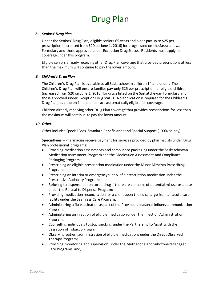#### *8. Seniors' Drug Plan*

Under the Seniors' Drug Plan, eligible seniors 65 years and older pay up to \$25 per prescription (increased from \$20 on June 1, 2016) for drugs listed on the Saskatchewan Formulary and those approved under Exception Drug Status. Residents must apply for coverage under this program.

Eligible seniors already receiving other Drug Plan coverage that provides prescriptions at less than the maximum will continue to pay the lower amount.

#### *9. Children's Drug Plan*

The Children's Drug Plan is available to all Saskatchewan children 14 and under. The Children's Drug Plan will ensure families pay only \$25 per prescription for eligible children (increased from \$20 on June 1, 2016) for drugs listed on the Saskatchewan Formulary and those approved under Exception Drug Status. No application is required for the Children's Drug Plan, as children 14 and under are automatically eligible for coverage.

Children already receiving other Drug Plan coverage that provides prescriptions for less than the maximum will continue to pay the lower amount.

#### *10. Other*

Other includes Special Fees, Standard Beneficiaries and Special Support (100% co-pay).

**Special Fees** – Pharmacies receive payment for services provided by pharmacists under Drug Plan professional programs:

- Providing medication assessments and compliance packaging under the Saskatchewan Medication Assessment Program and the Medication Assessment and Compliance Packaging Program;
- Prescribing an eligible prescription medication under the Minor Ailments Prescribing Program;
- Prescribing an interim or emergency supply of a prescription medication under the Prescriptive Authority Program;
- Refusing to dispense a monitored drug if there are concerns of potential misuse or abuse under the Refusal to Dispense Program;
- Providing medication reconciliation for a client upon their discharge from an acute care facility under the Seamless Care Program;
- Administering a flu vaccination as part of the Province's seasonal Influenza Immunization Program;
- Administering an injection of eligible medication under the Injection Administration Program;
- Counselling individuals to stop smoking under the Partnership to Assist with the Cessation of Tobacco Program;
- Observing patient administration of eligible medications under the Direct Observed Therapy Program;
- Providing monitoring and supervision under the Methadone and Suboxone®Managed Care Programs; and,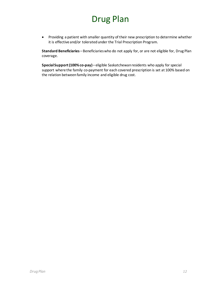• Providing a patient with smaller quantity of their new prescription to determine whether it is effective and/or tolerated under the Trial Prescription Program.

**Standard Beneficiaries** – Beneficiaries who do not apply for, or are not eligible for, Drug Plan coverage.

**Special Support (100% co-pay)**– eligible Saskatchewan residents who apply for special support where the family co-payment for each covered prescription is set at 100% based on the relation between family income and eligible drug cost.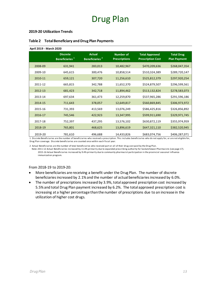#### **2019-20 Utilization Trends**

| April 2019 - March 2020 |                                               |                                             |                                          |                                                   |                                          |
|-------------------------|-----------------------------------------------|---------------------------------------------|------------------------------------------|---------------------------------------------------|------------------------------------------|
|                         | <b>Discrete</b><br>Beneficiaries <sup>1</sup> | <b>Actual</b><br>Beneficiaries <sup>2</sup> | <b>Number of</b><br><b>Prescriptions</b> | <b>Total Approved</b><br><b>Prescription Cost</b> | <b>Total Drug</b><br><b>Plan Payment</b> |
| 2008-09                 | 631,941                                       | 283,013                                     | 10,482,967                               | \$470,209,636                                     | \$268,047,354                            |
| 2009-10                 | 645,615                                       | 300,476                                     | 10,858,514                               | \$510,324,389                                     | \$289,720,147                            |
| 2010-11                 | 659,121                                       | 307,720                                     | 11,256,610                               | \$525,812,379                                     | \$297,920,254                            |
| 2011-12                 | 665,815                                       | 342,788                                     | 11,652,370                               | \$524,879,507                                     | \$296,599,561                            |
| 2012-13                 | 681,423                                       | 342,718                                     | 11,894,462                               | \$513,132,824                                     | \$278,583,073                            |
| 2013-14                 | 697,634                                       | 361,473                                     | 12,259,870                               | \$537,965,286                                     | \$291,596,186                            |
| 2014-15                 | 711,643                                       | 378,057                                     | 12,649,817                               | \$560,869,845                                     | \$306,973,972                            |
| 2015-16                 | 731,393                                       | 413,569                                     | 13,076,249                               | \$586,425,816                                     | \$326,856,892                            |
| 2016-17                 | 745,546                                       | 422,923                                     | 13,347,995                               | \$599,911,690                                     | \$329,971,745                            |
| 2017-18                 | 752,397                                       | 437,295                                     | 13,576,102                               | \$630,872,119                                     | \$355,974,959                            |
| 2018-19                 | 765,801                                       | 468,625                                     | 13,896,619                               | \$647,321,110                                     | \$382,520,945                            |
| 2019-20                 | 781,610                                       | 496,688                                     | 14,433,826                               | \$683,074,756                                     | \$406,287,071                            |

#### <span id="page-12-0"></span>**Table 2 Total Beneficiary and Drug Plan Payments**

1 Discrete Beneficiaries are the number of beneficiaries who received a prescription. This includes beneficiaries who do not apply for, or are not eligible for, Drug Plan coverage. Discrete beneficiaries are counted once within each fiscal year.

2 Actual Beneficiaries are the number of total beneficiaries who received part or all of their drug cost paid by the Drug Plan.

 Note: 2011-12 Actual Beneficiaries increased by 11.4% primarily due to expanded prescribing authority for Saskatchewan Pharmacists (see page 17). 2015-16 Actual Beneficiaries increased by 9.4% primarily due to community pharmacist participation in the provincial seasonal influenza immunization program.

#### From 2018-19 to 2019-20:

- More beneficiaries are receiving a benefit under the Drug Plan. The number of discrete beneficiaries increased by 2.1% and the number of actual beneficiaries increased by 6.0%.
- The number of prescriptions increased by 3.9%, total approved prescription cost increased by 5.5%and total Drug Plan payment increased by 6.2%. The total approved prescription cost is increasing at a higher percentage than the number of prescriptions due to an increase in the utilization of higher cost drugs.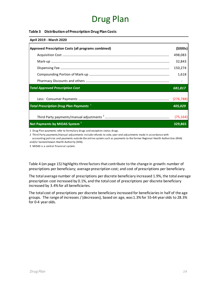#### <span id="page-13-0"></span>**Table 3 Distribution of Prescription Drug Plan Costs**

| April 2019 - March 2020                                   |            |
|-----------------------------------------------------------|------------|
| Approved Prescription Costs (all programs combined)       | (5000s)    |
|                                                           | 498,083    |
|                                                           | 32,843     |
|                                                           | 150,274    |
|                                                           | 1,618      |
|                                                           |            |
| <b>Total Approved Prescription Cost</b>                   | 681,817    |
|                                                           |            |
|                                                           | (276, 788) |
| <b>Total Prescription Drug Plan Payments</b> <sup>1</sup> | 405,029    |
|                                                           | (75, 164)  |

1 Drug Plan payments refer to formulary drugs and exception status drugs.

2 Third Party payments/manual adjustments include refunds to vote, year-end adjustments made in accordance with accounting policies and payments outside the online system such as payments to the former Regional Health Authorities (RHA) and/or Saskatchewan Health Authority (SHA).

3 MIDAS is a central financial system.

Table 4 (on page 15) highlights three factors that contribute to the change in growth: number of prescriptions per beneficiary; average prescription cost; and cost of prescriptions per beneficiary.

The total average number of prescriptions per discrete beneficiary increased 1.9%, the total average prescription cost increased by 0.1%, and the total cost of prescriptions per discrete beneficiary increased by 3.4%for all beneficiaries.

The total cost of prescriptions per discrete beneficiary increased for beneficiaries in half of the age groups. The range of increases / (decreases), based on age, was 1.3%for 55-64 year olds to 28.3% for 0-4 year olds.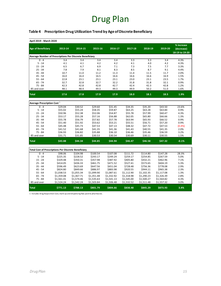#### <span id="page-14-0"></span>**Table 4 Prescription Drug Utilization Trend by Age of Discrete Beneficiary**

| April 2019 - March 2020                                     |            |            |                  |                  |                  |                  |                  |                                            |
|-------------------------------------------------------------|------------|------------|------------------|------------------|------------------|------------------|------------------|--------------------------------------------|
| <b>Age of Beneficiary</b>                                   | 2013-14    | 2014-15    | 2015-16          | 2016-17          | 2017-18          | 2018-19          | 2019-20          | % increase<br>(decrease)<br>18-19 to 19-20 |
| Average Number of Prescriptions Per Discrete Beneficiary    |            |            |                  |                  |                  |                  |                  |                                            |
| $0 - 4$                                                     | 3.4        | 3.4        | $\overline{3.4}$ | $\overline{3.4}$ | $\overline{3.3}$ | $\overline{3.3}$ | $\overline{3.4}$ | 4.3%                                       |
| $5 - 14$                                                    | 4.1        | 4.1        | 4.2              | 4.2              | 4.1              | 4.0              | 4.2              | 4.3%                                       |
| $15 - 24$                                                   | 6.5        | 6.7        | 6.9              | 7.1              | 7.3              | 7.5              | 7.7              | 3.3%                                       |
| $25 - 34$                                                   | 7.8        | 7.9        | 8.1              | 8.3              | 8.5              | 8.7              | 9.1              | 4.4%                                       |
| $35 - 44$                                                   | 10.7       | 11.0       | 11.2             | 11.3             | 11.4             | 11.5             | 11.7             | 2.0%                                       |
| $45 - 54$                                                   | 16.0       | 16.4       | 16.5             | 16.6             | 16.6             | 16.6             | 16.9             | 1.5%                                       |
| $55 - 64$                                                   | 22.8       | 23.1       | 23.1             | 23.1             | 23.0             | 23.1             | 23.5             | 1.7%                                       |
| $65 - 74$                                                   | 32.7       | 32.8       | 32.7             | 32.2             | 31.8             | 31.8             | 32.1             | 0.9%                                       |
| $75 - 84$                                                   | 42.3       | 42.8       | 42.8             | 42.7             | 42.4             | 42.3             | 42.8             | 1.2%                                       |
| 85 and over                                                 | 48.1       | 48.4       | 49.3             | 49.3             | 49.9             | 50.2             | 51.0             | 1.6%                                       |
| <b>Total</b>                                                | 17.6       | 17.8       | 17.9             | 17.9             | 18.0             | 18.1             | 18.5             | 1.9%                                       |
| Average Prescription Cost $^1$                              |            |            |                  |                  |                  |                  |                  |                                            |
| $0 - 4$                                                     | \$29.04    | \$30.52    | \$29.60          | \$31.45          | \$34.35          | \$35.20          | \$43.50          | 23.6%                                      |
| $5 - 14$                                                    | \$55.02    | \$55.24    | \$58.35          | \$59.87          | \$63.25          | \$63.28          | \$63.84          | 0.9%                                       |
| $15 - 24$                                                   | \$50.96    | \$52.38    | \$52.06          | \$54.87          | \$55.78          | \$57.99          | \$60.47          | 4.3%                                       |
| $25 - 34$                                                   | \$53.17    | \$55.28    | \$57.16          | \$56.88          | \$62.05          | \$65.80          | \$66.66          | 1.3%                                       |
| $35 - 44$                                                   | \$55.78    | \$56.79    | \$57.82          | \$57.78          | \$63.94          | \$65.93          | \$66.52          | 0.9%                                       |
| $45 - 54$                                                   | \$51.40    | \$51.92    | \$53.62          | \$53.21          | \$55.51          | \$56.71          | \$57.20          | 0.9%                                       |
| $55 - 64$                                                   | \$45.48    | \$45.73    | \$47.53          | \$47.13          | \$48.32          | \$47.72          | \$47.53          | (0.4%                                      |
| $65 - 74$                                                   | \$41.52    | \$41.68    | \$41.35          | \$41.36          | \$41.43          | \$40.55          | \$41.35          | 2.0%                                       |
| $75 - 84$                                                   | \$36.93    | \$36.82    | \$35.88          | \$36.10          | \$36.46          | \$35.46          | \$36.59          | 3.2%                                       |
| 85 and over                                                 | \$31.71    | \$31.85    | \$30.53          | \$30.54          | \$30.69          | \$30.11          | \$30.55          | 1.5%                                       |
| <b>Total</b>                                                | \$43.88    | \$44.34    | \$44.85          | \$44.94          | \$46.47          | \$46.58          | \$47.32          | $-0.1%$                                    |
| <b>Total Cost of Prescriptions Per Discrete Beneficiary</b> |            |            |                  |                  |                  |                  |                  |                                            |
| $0 - 4$                                                     | \$98.06    | \$104.98   | \$100.54         | \$107.08         | \$111.72         | \$114.80         | \$147.28         | 28.3%                                      |
| $5 - 14$                                                    | \$225.35   | \$228.52   | \$243.17         | \$249.24         | \$259.17         | \$254.85         | \$267.59         | 5.0%                                       |
| $15 - 24$                                                   | \$329.48   | \$350.31   | \$357.98         | \$387.92         | \$405.80         | \$432.21         | \$462.96         | 7.1%                                       |
| $25 - 34$                                                   | \$414.05   | \$436.33   | \$461.75         | \$471.52         | \$527.41         | \$573.65         | \$604.19         | 5.3%                                       |
| $35 - 44$                                                   | \$596.49   | \$623.69   | \$647.56         | \$651.04         | \$728.48         | \$756.36         | \$778.08         | 2.9%                                       |
| $45 - 54$                                                   | \$824.80   | \$849.66   | \$886.97         | \$883.98         | \$920.55         | \$944.11         | \$965.38         | 2.3%                                       |
| $55 - 64$                                                   | \$1,038.53 | \$1,055.34 | \$1,099.90       | \$1,087.61       | \$1,112.90       | \$1,102.35       | \$1,117.08       | 1.3%                                       |
| $65 - 74$                                                   | \$1,359.08 | \$1,367.71 | \$1,351.48       | \$1,332.92       | \$1,318.98       | \$1,290.23       | \$1,326.39       | 2.8%                                       |
| $75 - 84$                                                   | \$1,561.41 | \$1,574.46 | \$1,535.63       | \$1,541.13       | \$1,545.00       | \$1,500.27       | \$1,564.82       | 4.3%                                       |
| 85 and over                                                 | \$1,524.24 | \$1,542.24 | \$1,503.84       | \$1,506.48       | \$1,532.52       | \$1,511.48       | \$1,557.32       | 3.0%                                       |
| <b>Total</b>                                                | \$771.13   | \$788.13   | \$801.79         | \$804.66         | \$838.48         | \$845.29         | \$873.93         | 3.4%                                       |

1 Includes Drug Acquisition Cost, mark-up and dispensing fees paid to pharmacies.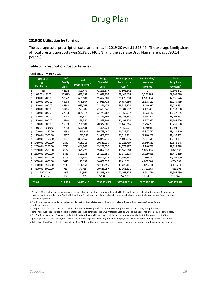#### **2019-20 Utilization by Families**

The average total prescription cost for families in 2019-20 was \$1,328.45. The average family share of total prescription costs was \$538.30 (40.5%) and the average Drug Plan share was \$790.14 (59.5%).

#### <span id="page-15-0"></span>**Table 5 Prescription Cost to Families**

|    | April 2019 - March 2020 |                |                              |                                |                                              |                                  |                                  |
|----|-------------------------|----------------|------------------------------|--------------------------------|----------------------------------------------|----------------------------------|----------------------------------|
|    | <b>Total Cost</b><br>to | # of<br>Family | # of<br><b>Prescriptions</b> | <b>Drug</b><br><b>Material</b> | <b>Total Approved</b><br><b>Prescription</b> | Net Family /<br><b>Insurance</b> | <b>Total</b><br><b>Drug Plan</b> |
|    | <b>Family Unit</b>      | Units $1$      |                              | Cost <sup>3</sup>              | $\overline{\text{Cost}}^4$                   | Payments <sup>5</sup>            | Payment <sup>6</sup>             |
| \$ | Nil                     | 44602          | 899,475                      | 41,255,577                     | 49,506,142                                   | $\Omega$                         | 49,506,142                       |
| \$ | $00.01 - 100.00$        | 119329         | 699,158                      | 31,082,892                     | 38,143,658                                   | 5,278,288                        | 32,865,370                       |
| \$ | 100.01 - 200.00         | 57842          | 609,109                      | 19,417,501                     | 25,676,250                                   | 8,539,474                        | 17, 136, 776                     |
| \$ | 200.01 - 300.00         | 46764          | 648,567                      | 17,925,414                     | 24,657,580                                   | 11,578,161                       | 13,079,419                       |
| Ś  | 300.01 - 400.00         | 35848          | 685,065                      | 21,376,473                     | 28,529,274                                   | 12,489,922                       | 16,039,352                       |
| \$ | 400.01 - 500.00         | 31486          | 777,705                      | 22,603,548                     | 30,784,792                                   | 14, 131, 405                     | 16,653,388                       |
| \$ | $500.01 - 600.00$       | 27013          | 855,912                      | 22,726,667                     | 31,760,917                                   | 14,823,112                       | 16,937,805                       |
| \$ | 600.01 - 700.00         | 22452          | 888,380                      | 23,876,693                     | 33,258,862                                   | 14,554,504                       | 18,704,358                       |
| \$ | 700.01 - 800.00         | 18340          | 823,550                      | 21,563,303                     | 30,292,574                                   | 13,727,967                       | 16,564,606                       |
| \$ | 800.01 - 900.00         | 15079          | 730,589                      | 20,327,908                     | 28,048,366                                   | 12,796,758                       | 15,251,608                       |
| \$ | 900.01 - 1000.00        | 12598          | 670,434                      | 17,364,023                     | 24,455,571                                   | 11,950,935                       | 12,504,637                       |
| Ś  | 1000.01 - 1250.00       | 23593          | 1,415,432                    | 39,768,040                     | 54,739,472                                   | 26,317,732                       | 28,421,740                       |
| Ś  | 1250.01 - 1500.00       | 15927          | 1,093,364                    | 31.661.976                     | 43,219,461                                   | 21,760,209                       | 21,459,252                       |
| Ś  | 1500.01 - 1750.00       | 11031          | 833,555                      | 26,022,246                     | 34,808,036                                   | 17,834,545                       | 16,973,491                       |
| Ś  | 1750.01 - 2000.00       | 7839           | 628,116                      | 20,581,239                     | 27,225,769                                   | 14,649,521                       | 12,576,248                       |
| Ś  | 2000.01 - 2250.00       | 5730           | 486,909                      | 19,227,050                     | 24,374,187                                   | 12, 140, 758                     | 12,233,428                       |
| Ś  | 2250.01 - 2500.00       | 4172           | 371,228                      | 15,052,933                     | 18,963,968                                   | 9,887,436                        | 9,076,532                        |
| \$ | 2500.01 - 3000.00       | 5483           | 503,734                      | 25,119,659                     | 30,379,173                                   | 14,939,015                       | 15,440,159                       |
| Ś  | 3000.01 - 3500.00       | 3219           | 305,641                      | 19,401,519                     | 22,595,362                                   | 10,396,761                       | 12,198,600                       |
| Ś  | 3500.01 - 4000.00       | 1845           | 173,139                      | 14,821,999                     | 16,616,911                                   | 6,882,604                        | 9,734,307                        |
| Ś  | 4000.01 - 4500.00       | 1139           | 106,568                      | 12,133,555                     | 13,228,181                                   | 4,822,940                        | 8,405,241                        |
| Ś  | 4500.01 - 5000.00       | 783            | 70,759                       | 10,628,157                     | 11,363,611                                   | 3,710,303                        | 7,653,308                        |
| \$ | 5000.01+                | 1909           | 151,961                      | 38,588,141                     | 40,167,275                                   | 13,601,786                       | 26,565,489                       |
|    | Less than Zero          | 162            | 5,062                        | 229,069                        | 272,179                                      | $-26,487$                        | 298,666                          |
|    | <b>Total</b>            | 514,185        | 14,433,412                   | \$532,755,582                  | \$683,067,519                                | \$276,787,649                    | \$406,279,922                    |

1 A Family Unit includes all beneficiaries registered under one family number through eHealth Saskatchewan, Health Registries. Beneficiaries may belong to more than one Family Unit within a fiscal year. In this table beneficiaries are included under their most recent family number in the time period.

 Diabetic Supplies. 2 # of Prescriptions refers to Formulary and Exception Drug Status drugs. This total includes Special Fees, Diagnostic Agents and

3 Drug Material Cost includes Total Acquisition Cost + Mark-up and Compound Fee, if applicable, less Discount, if applicable.

4 Total Approved Prescription Cost is the total approved amount of the Drug Material Cost, as well as the approved pharmacy dispensing fee. 5 Net Family / Insurance Payments is the total cost paid by families and/or their insurance plans towards the total approved cost of the prescriptions. In some cases,the value of this field is negative due to adjustments and payment reversals made in the previous time period.

6 Total Drug Plan Payment is the total of the Drug Material Cost and Dispensing fee; less portion paid by families and their insurance plans.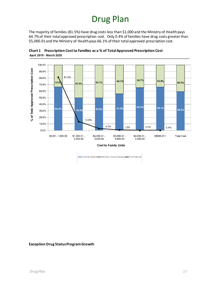<span id="page-16-0"></span>The majority of families (81.5%) have drug costs less than \$1,000 and the Ministry of Health pays 64.7% of their total approved prescription cost. Only 0.4% of families have drug costs greater than \$5,000.01 and the Ministry of Health pays 66.1% of their total approved prescription cost.



**Chart 1 Prescription Cost to Families as a % of Total Approved Prescription Cost** April 2019 - March 2020

Drug Plan Payment Net Family / Insurance Payments - % of Family Units

#### **Exception Drug StatusProgramGrowth**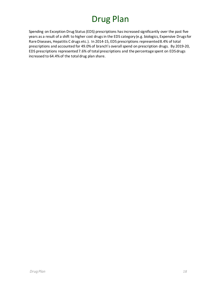Spending on Exception Drug Status (EDS) prescriptions has increased significantly over the past five years as a result of a shift to higher cost drugs in the EDS category (e.g. biologics, Expensive Drugsfor Rare Diseases, Hepatitis C drugs etc.). In 2014-15, EDS prescriptions represented 8.4% of total prescriptions and accounted for 49.0% of branch's overall spend on prescription drugs. By 2019-20, EDS prescriptions represented 7.6% of total prescriptions and the percentage spent on EDS drugs increased to 64.4% of the total drug plan share.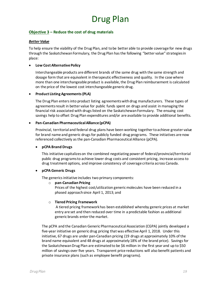#### **Objective 3 – Reduce the cost of drug materials**

#### *Better Value*

To help ensure the viability of the Drug Plan, and to be better able to provide coverage for new drugs through the Saskatchewan Formulary, the Drug Plan has the following "better value" strategies in place:

#### • **Low Cost Alternative Policy**

Interchangeable products are different brands of the same drug with the same strength and dosage form that are equivalent in therapeutic effectiveness and quality. In the case where more than one interchangeable product is available, the Drug Plan reimbursement is calculated on the price of the lowest cost interchangeable generic drug.

#### • **Product Listing Agreements (PLA)**

The Drug Plan entersinto product listing agreementswith drug manufacturers. These types of agreements result in better value for public funds spent on drugs and assist in managing the financial risk associated with drugs listed on the Saskatchewan Formulary. The ensuing cost savings help to offset Drug Plan expenditures and/or are available to provide additional benefits.

#### • **Pan-Canadian Pharmaceutical Alliance (pCPA)**

Provincial, territorial and federal drug plans have been working together to achieve greater value for brand name and generic drugs for publicly funded drug programs. These initiatives are now referenced collectively as the pan-Canadian Pharmaceutical Alliance (pCPA).

#### • **pCPA Brand Drugs**

This initiative capitalizes on the combined negotiating power of federal/provincial/territorial public drug programs to achieve lower drug costs and consistent pricing, increase access to drug treatment options, and improve consistency of coverage criteria across Canada.

#### • **pCPA Generic Drugs**

The generics initiative includes two primary components:

#### o **pan-Canadian Pricing**

Prices of the highest cost/utilization generic molecules have been reduced in a phased approach since April 1, 2013; and

#### o **Tiered Pricing Framework**

A tiered pricing framework has been established whereby generic prices at market entry are set and then reduced over time in a predictable fashion as additional generic brands enter the market.

The pCPA and the Canadian Generic Pharmaceutical Association (CGPA) jointly developed a five-year initiative on generic drug pricing that was effective April 1, 2018. Under this initiative, 67 drugs are under pan-Canadian pricing (19 drugs at approximately 10% of the brand name equivalent and 48 drugs at approximately 18% of the brand price). Savings for the Saskatchewan Drug Plan are estimated to be \$6 million in the first year and up to \$50 million of savings over five years. Transparent price reductions will also benefit patients and private insurance plans (such as employee benefit programs).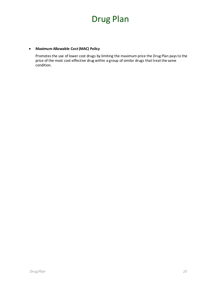#### • **Maximum Allowable Cost(MAC) Policy**

Promotes the use of lower cost drugs by limiting the maximum price the Drug Plan pays to the price of the most cost-effective drug within a group of similar drugs that treat the same condition.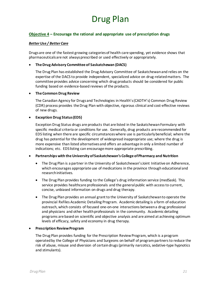#### **Objective 4 – Encourage the rational and appropriate use of prescription drugs**

#### *Better Use / Better Care*

Drugs are one of the fastest growing categories of health care spending, yet evidence shows that pharmaceuticals are not always prescribed or used effectively or appropriately.

#### • **The Drug Advisory Committee of Saskatchewan (DACS)**

The Drug Plan has established the Drug Advisory Committee of Saskatchewan and relies on the expertise of the DACS to provide independent, specialized advice on drug-related matters. The committee provides advice concerning which drug products should be considered for public funding based on evidence-based reviews of the products.

#### • **The Common Drug Review**

The Canadian Agency for Drugs and Technologies in Health's (CADTH's) Common Drug Review (CDR) process provides the Drug Plan with objective, rigorous clinical and cost-effective reviews of new drugs.

#### • **Exception Drug Status (EDS)**

Exception Drug Status drugs are products that are listed in the Saskatchewan Formulary with specific medical criteria or conditions for use. Generally, drug products are recommended for EDS listing when there are specific circumstances where use is particularly beneficial; where the drug has potential for the development of widespread inappropriate use; where the drug is more expensive than listed alternatives and offers an advantage in only a limited number of indications; etc. EDS listing can encourage more appropriate prescribing.

#### • **Partnerships with the University ofSaskatchewan's College of Pharmacy and Nutrition**

- The Drug Plan is a partner in the University of Saskatchewan's Joint Initiative on Adherence, which encourages appropriate use of medications in the province through educational and research initiatives.
- The Drug Plan provides funding to the College's drug information service (medSask). This service provides healthcare professionals and the general public with access to current, concise, unbiased information on drugs and drug therapy.
- The Drug Plan provides an annual grant to the University of Saskatchewan to operate the provincial RxFiles Academic Detailing Program. Academic detailing is a form of education outreach, which consists of focused one-on-one interactions between a drug professional and physicians and other health professionals in the community. Academic detailing programs are based on scientific and objective analysis and are aimed at achieving optimum levels of efficacy, safety and economy in drug therapy.

#### • **Prescription Review Program**

The Drug Plan provides funding for the Prescription Review Program, which is a program operated by the College of Physicians and Surgeons on behalf of program partners to reduce the risk of abuse, misuse and diversion of certain drugs (primarily narcotics, sedative-type hypnotics and stimulants).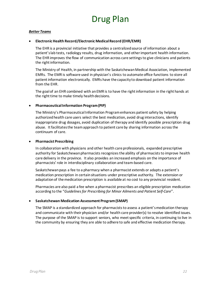#### *Better Teams*

#### • **Electronic Health Record/Electronic MedicalRecord (EHR/EMR)**

The EHR is a provincial initiative that provides a centralized source of information about a patient's lab tests, radiology results, drug information, and other important health information. The EHR improves the flow of communication across care settingsto give clinicians and patients the right information.

The Ministry of Health, in partnership with the Saskatchewan Medical Association, implemented EMRs. The EMR is software used in physician's clinics to automate office functions to store all patient information electronically. EMRs have the capacity to download patient information from the EHR.

The goal of an EHR combined with an EMR is to have the right information in the right hands at the right time to make timely health decisions.

#### • **Pharmaceutical Information Program (PIP)**

The Ministry's Pharmaceutical Information Program enhances patient safety by helping authorized health care users select the best medication, avoid drug interactions, identify inappropriate drug dosages, avoid duplication of therapy and identify possible prescription drug abuse. It facilitates the team approach to patient care by sharing information across the continuum of care.

#### • **Pharmacist Prescribing**

In collaboration with physicians and other health care professionals, expanded prescriptive authority for Saskatchewan pharmacists recognizes the ability of pharmacists to improve health care delivery in the province. It also provides an increased emphasis on the importance of pharmacists' role in interdisciplinary collaboration and team-based care.

Saskatchewan pays a fee to a pharmacy when a pharmacist extends or adapts a patient's medication prescription in certain situations under prescriptive authority. The extension or adaptation of the medication prescription is available at no cost to any provincial resident.

Pharmacies are also paid a fee when a pharmacist prescribes an eligible prescription medication according to the "*Guidelines for Prescribing for Minor Ailments and Patient Self-Care*".

#### • **Saskatchewan Medication Assessment Program (SMAP)**

The SMAP is a standardized approach for pharmacists to assess a patient's medication therapy and communicate with their physician and/or health care provider(s) to resolve identified issues. The purpose of the SMAP is to support seniors, who meet specific criteria, in continuing to live in the community by ensuring they are able to adhere to safe and effective medication therapy.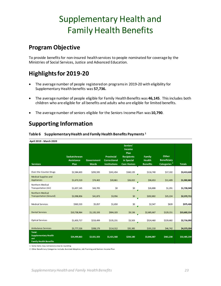### <span id="page-22-0"></span>**Program Objective**

To provide benefits for non-insured health services to people nominated for coverage by the Ministries of Social Services, Justice and Advanced Education.

### <span id="page-22-1"></span>**Highlightsfor 2019-20**

- The average number of people registered on programs in 2019-20 with eligibility for Supplementary Health benefits was **57,736.**
- The average number of people eligible for Family Health Benefits was **46,145**. This includes both children who are eligible for all benefits and adults who are eligible for limited benefits.
- The average number of seniors eligible for the Seniors Income Plan was **10,790**.

### <span id="page-22-2"></span>**Supporting Information**

| April 2019 - March 2020                                                              |                                           |                                   |                                                                 |                                                                                    |                                            |                                                        |               |
|--------------------------------------------------------------------------------------|-------------------------------------------|-----------------------------------|-----------------------------------------------------------------|------------------------------------------------------------------------------------|--------------------------------------------|--------------------------------------------------------|---------------|
| <b>Services</b>                                                                      | Saskatchewan<br><b>Assistance</b><br>Plan | <b>Government</b><br><b>Wards</b> | <b>Provincial</b><br><b>Correctional</b><br><b>Institutions</b> | Seniors'<br>Income<br>Plan<br><b>Recipients</b><br>in Special<br><b>Care Homes</b> | Family<br><b>Health</b><br><b>Benefits</b> | Other<br><b>Beneficiary</b><br>Categories <sup>2</sup> | <b>Totals</b> |
|                                                                                      |                                           |                                   |                                                                 |                                                                                    |                                            |                                                        |               |
| Over-the-Counter Drugs                                                               | \$2,584,603                               | \$293,595                         | \$241,454                                                       | \$160,135                                                                          | \$116,740                                  | \$17,102                                               | \$3,413,628   |
| <b>Medical Supplies and</b><br>Appliances                                            | \$1,673,519                               | \$74,402                          | \$20,861                                                        | \$26,022                                                                           | \$96,653                                   | \$11,409                                               | \$1,902,865   |
| Northern Medical<br>Transportation (Air)                                             | \$1,657,145                               | \$43,705                          | \$0                                                             | \$0                                                                                | \$26,808                                   | \$1,291                                                | \$1,728,949   |
| <b>Northern Medical</b><br><b>Transportation (Ground)</b>                            | \$2,098,856                               | \$41,873                          | \$3,956                                                         | \$0                                                                                | \$202,802                                  | \$25,224                                               | \$2,372,711   |
| <b>Medical Services</b>                                                              | \$365,533                                 | \$5,057                           | \$1,650                                                         | \$0                                                                                | \$2,547                                    | \$639                                                  | \$375,426     |
| <b>Dental Services</b>                                                               | \$10,738,964                              | \$1,135,193                       | \$904,103                                                       | \$9,136                                                                            | \$2,685,667                                | \$129,151                                              | \$15,602,214  |
| <b>Optical Services</b>                                                              | \$1,603,717                               | \$219,499                         | \$135,231                                                       | \$3,503                                                                            | \$524,460                                  | \$229,682                                              | \$2,716,092   |
| <b>Ambulance Services</b>                                                            | \$3,777,526                               | \$208,179                         | \$114,312                                                       | \$35,385                                                                           | \$191,210                                  | \$46,742                                               | \$4,373,354   |
| <b>Total:</b><br><b>Supplementary Health</b><br>and<br><b>Family Health Benefits</b> | \$24,499,863                              | \$2,021,503                       | \$1,421,568                                                     | \$234,180                                                                          | \$3,846,887                                | \$461,238                                              | \$32,485,239  |

<span id="page-22-3"></span>**Table 6 Supplementary Health and Family Health Benefits Payments <sup>1</sup>**

1 Some items may not balance due to rounding

2 Other Beneficiary Categories include: Assisted Adoption, Job Training and Seniors Income Plan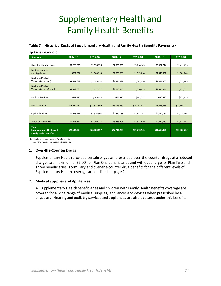#### <span id="page-23-0"></span>**Table 7 Historical Costs of Supplementary Health and Family Health Benefits Payments <sup>1</sup>**

| April 2019 - March 2020                                          |              |              |              |              |              |              |  |  |  |  |
|------------------------------------------------------------------|--------------|--------------|--------------|--------------|--------------|--------------|--|--|--|--|
| <b>Services</b>                                                  | 2014-15      | 2015-16      | 2016-17      | 2017-18      | 2018-19      | 2019-20      |  |  |  |  |
|                                                                  |              |              |              |              |              |              |  |  |  |  |
| Over-the-Counter Drugs                                           | \$2,668,625  | \$2,596,636  | \$2,806,965  | \$3,014,149  | \$3,082,744  | \$3,413,628  |  |  |  |  |
| <b>Medical Supplies</b>                                          |              |              |              |              |              |              |  |  |  |  |
| and Appliances                                                   | \$962,634    | \$1,068,618  | \$1,053,606  | \$1,395,814  | \$1,843,597  | \$1,902,865  |  |  |  |  |
| Northern Medical                                                 |              |              |              |              |              |              |  |  |  |  |
| Transportation (Air)                                             | \$1,457,652  | \$1,439,654  | \$1,536,588  | \$1,767,316  | \$1,847,960  | \$1,728,949  |  |  |  |  |
| <b>Northern Medical</b>                                          |              |              |              |              |              |              |  |  |  |  |
| <b>Transportation (Ground)</b>                                   | \$2,328,064  | \$2,627,477  | \$2,740,547  | \$2,730,915  | \$2,636,851  | \$2,372,711  |  |  |  |  |
|                                                                  |              |              |              |              |              |              |  |  |  |  |
| <b>Medical Services</b>                                          | \$457,186    | \$449,633    | \$457,370    | \$442,797    | \$420,590    | \$375,426    |  |  |  |  |
|                                                                  |              |              |              |              |              |              |  |  |  |  |
| <b>Dental Services</b>                                           | \$11,629,964 | \$12,515,559 | \$13,173,889 | \$15,293,038 | \$15,036,486 | \$15,602,214 |  |  |  |  |
|                                                                  |              |              |              |              |              |              |  |  |  |  |
| <b>Optical Services</b>                                          | \$2,236,131  | \$2,316,305  | \$2,459,068  | \$2,641,267  | \$2,752,164  | \$2,716,092  |  |  |  |  |
|                                                                  |              |              |              |              |              |              |  |  |  |  |
| <b>Ambulance Services</b>                                        | \$2,893,842  | \$3,049,775  | \$3,483,206  | \$3,928,649  | \$4,079,560  | \$4,373,354  |  |  |  |  |
| Total:                                                           |              |              |              |              |              |              |  |  |  |  |
| <b>Supplementary Health and</b><br><b>Family Health Benefits</b> | \$24,634,098 | \$26,063,657 | \$27,711,238 | \$31,213,945 | \$31,699,951 | \$32,485,239 |  |  |  |  |
|                                                                  |              |              |              |              |              |              |  |  |  |  |

Note: Includes Seniors Income Plan Payments

1 Some items may not balance due to rounding

#### **1. Over-the-Counter Drugs**

Supplementary Health provides certain physician prescribed over-the-counter drugs at a reduced charge, to a maximum of \$2.00, for Plan One beneficiaries and without charge for Plan Two and Three beneficiaries. Formulary and over-the-counter drug benefits for the different levels of Supplementary Health coverage are outlined on page 9.

#### **2. Medical Supplies and Appliances**

All Supplementary Health beneficiaries and children with Family Health Benefits coverage are covered for a wide range of medical supplies, appliances and devices when prescribed by a physician. Hearing and podiatry services and appliances are also captured under this benefit.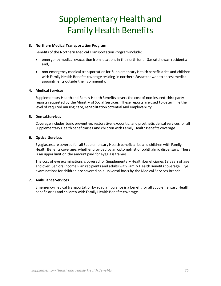#### **3. Northern Medical Transportation Program**

Benefits of the Northern Medical Transportation Program include:

- emergency medical evacuation from locations in the north for all Saskatchewan residents; and,
- non-emergency medical transportation for Supplementary Health beneficiaries and children with Family Health Benefits coverage residing in northern Saskatchewan to access medical appointments outside their community.

#### **4. Medical Services**

Supplementary Health and Family Health Benefits coversthe cost of non-insured third party reports requested by the Ministry of Social Services. These reports are used to determine the level of required nursing care, rehabilitation potential and employability.

#### **5. Dental Services**

Coverage includes basic preventive, restorative, exodontic, and prosthetic dental services for all Supplementary Health beneficiaries and children with Family Health Benefits coverage.

#### **6. Optical Services**

Eyeglasses are covered for all Supplementary Health beneficiaries and children with Family Health Benefits coverage, whether provided by an optometrist or ophthalmic dispensary. There is an upper limit on the amount paid for eyeglass frames.

The cost of eye examinations is covered for Supplementary Health beneficiaries 18 years of age and over, Seniors Income Plan recipients and adults with Family Health Benefits coverage. Eye examinations for children are covered on a universal basis by the Medical Services Branch.

#### **7. Ambulance Services**

<span id="page-24-0"></span>Emergency medical transportation by road ambulance is a benefit for all Supplementary Health beneficiaries and children with Family Health Benefits coverage.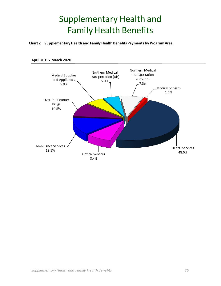**Chart 2 Supplementary Health and Family Health Benefits Payments by Program Area**



#### April 2019 - March 2020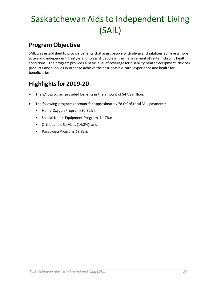### <span id="page-26-0"></span>**Program Objective**

SAIL was established to provide benefits that assist people with physical disabilities achieve a more active and independent lifestyle and to assist people in the management of certain chronic health conditions. The program provides a basic level of coverage for disability related equipment, devices, products and supplies in order to achieve the best possible care, experience and health for beneficiaries.

### <span id="page-26-1"></span>**Highlights for 2019-20**

- The SAIL program provided benefits in the amount of \$47.8 million.
- The following programs account for approximately 78.0% of total SAIL payments:
	- Home Oxygen Program(30.32%);
	- Special Needs Equipment Program (14.7%);
	- Orthopaedic Services (14.8%); and,
	- Paraplegia Program (18.3%).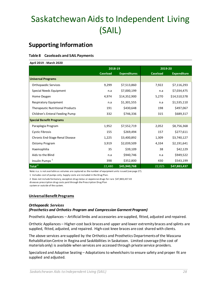### <span id="page-27-0"></span>**Supporting Information**

#### <span id="page-27-1"></span>**Table 8 Caseloads and SAIL Payments**

| April 2019 - March 2020                 |                 |                     |                 |                    |
|-----------------------------------------|-----------------|---------------------|-----------------|--------------------|
|                                         | 2018-19         |                     | 2019-20         |                    |
|                                         | <b>Caseload</b> | <b>Expenditures</b> | <b>Caseload</b> | <b>Expenditure</b> |
| <b>Universal Programs</b>               |                 |                     |                 |                    |
| Orthopaedic Services                    | 9,299           | \$7,513,860         | 7,922           | \$7,116,293        |
| Special Needs Equipment                 | n.a             | \$7,000,199         | n.a             | \$7,034,475        |
| Home Oxygen                             | 4,974           | \$14,352,900        | 5,270           | \$14,510,578       |
| Respiratory Equipment                   | n.a             | \$1,301,555         | n.a             | \$1,535,110        |
| <b>Therapeutic Nutritional Products</b> | 191             | \$430,648           | 198             | \$497,067          |
| Children's Enteral Feeding Pump         | 332             | \$746,336           | 315             | \$689,317          |
| <b>Special Benefit Programs</b>         |                 |                     |                 |                    |
| Paraplegia Program                      | 1,952           | \$7,552,719         | 2,052           | \$8,756,368        |
| <b>Cystic Fibrosis</b>                  | 155             | \$269,494           | 157             | \$277,611          |
| Chronic End-Stage Renal Disease         | 1,225           | \$3,400,892         | 1,309           | \$3,740,127        |
| Ostomy Program                          | 3,919           | \$2,039,509         | 4,334           | \$2,191,641        |
| Haemophilia                             | 35              | \$39,109            | 38              | \$42,129           |
| Aids to the Blind                       | n.a             | \$940,746           | n.a             | \$949,522          |
| Insulin Pumps <sup>1</sup>              | 398             | \$352,800           | 430             | \$543,199          |
| Total <sup>2</sup>                      | 22,480          | \$45,940,768        | 22,025          | \$47,883,437       |

Note: n.a. is not available as volumes are captured as the number of equipment units issued (see page 27).

1 Includes cost of pumps only. Supply costs are included in the Drug Plan.

2 Does not include formulary, exception drug status or expensive drugs for rare \$47,883,437.43

diseases prescription drug costs paid through the Prescription Drug Plan

system or outside of the system.

#### **Universal Benefit Programs**

#### *Orthopaedic Services*

#### *(Prosthetics and Orthotics Program and Compression Garment Program)*

Prosthetic Appliances – Artificial limbs and accessories are supplied, fitted, adjusted and repaired.

Orthotic Appliances – Higher-cost back braces and upper and lower extremity braces and splints are supplied, fitted, adjusted, and repaired. High-cost knee braces are cost shared with clients.

The above services are supplied by the Orthotics and Prosthetics Departments of the Wascana Rehabilitation Centre in Regina and SaskAbilities in Saskatoon. Limited coverage (the cost of materials only) is available when services are accessed through private service providers.

Specialized and Adaptive Seating – Adaptations to wheelchairs to ensure safety and proper fit are supplied and adjusted.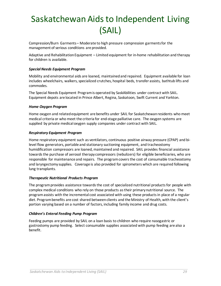Compression/Burn Garments – Moderate to high pressure compression garments for the management of serious conditions are provided.

Adaptive and Rehabilitation Equipment – Limited equipment for in-home rehabilitation and therapy for children is available.

#### *Special Needs Equipment Program*

Mobility and environmental aids are loaned, maintained and repaired. Equipment available for loan includes wheelchairs, walkers, specialized crutches, hospital beds, transfer assists, bathtub lifts and commodes.

The Special Needs Equipment Program is operated by SaskAbilities under contract with SAIL. Equipment depots are located in Prince Albert, Regina, Saskatoon, Swift Current and Yorkton.

#### *Home Oxygen Program*

Home oxygen and related equipment are benefits under SAIL for Saskatchewan residents who meet medical criteria or who meet the criteria for end-stage palliative care. The oxygen systems are supplied by private medical oxygen supply companies under contract with SAIL.

#### *Respiratory Equipment Program*

Home respiratory equipment such as ventilators, continuous positive airway pressure (CPAP) and bilevel flow generators, portable and stationary suctioning equipment, and tracheostomy humidification compressors are loaned, maintained and repaired. SAIL provides financial assistance towards the purchase of aerosol therapy compressors (nebulizers) for eligible beneficiaries, who are responsible for maintenance and repairs. The programcovers the cost of consumable tracheostomy and laryngectomy supplies. Coverage is also provided for spirometers which are required following lung transplants.

#### *Therapeutic Nutritional Products Program*

The program provides assistance towards the cost of specialized nutritional products for people with complex medical conditions who rely on those products as their primary nutritional source. The program assists with the incremental cost associated with using these products in place of a regular diet. Program benefits are cost shared between clients and the Ministry of Health, with the client's portion varying based on a number of factors, including family income and drug costs.

#### *Children's Enteral Feeding Pump Program*

Feeding pumps are provided by SAIL on a loan basis to children who require nasogastric or gastrostomy pump feeding. Select consumable supplies associated with pump feeding are also a benefit.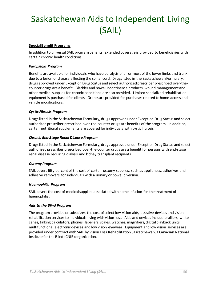#### **Special Benefit Programs**

In addition to universal SAIL program benefits, extended coverage is provided to beneficiaries with certain chronic health conditions.

#### *Paraplegia Program*

Benefits are available for individuals who have paralysis of all or most of the lower limbs and trunk due to a lesion or disease affecting the spinal cord. Drugs listed in the Saskatchewan Formulary, drugs approved under Exception Drug Status and select authorized prescriber prescribed over-thecounter drugs are a benefit. Bladder and bowel incontinence products, wound management and other medical supplies for chronic conditions are also provided. Limited specialized rehabilitation equipment is purchased for clients. Grants are provided for purchases related to home access and vehicle modifications.

#### *Cystic Fibrosis Program*

Drugs listed in the Saskatchewan Formulary, drugs approved under Exception Drug Status and select authorized prescriber prescribed over-the-counter drugs are benefits of the program. In addition, certain nutritional supplements are covered for individuals with cystic fibrosis.

#### *Chronic End-Stage Renal Disease Program*

Drugs listed in the Saskatchewan Formulary, drugs approved under Exception Drug Status and select authorized prescriber prescribed over-the-counter drugs are a benefit for persons with end-stage renal disease requiring dialysis and kidney transplant recipients.

#### *Ostomy Program*

SAIL covers fifty percent of the cost of certain ostomy supplies, such as appliances, adhesives and adhesive removers, for individuals with a urinary or bowel diversion.

#### *Haemophilia Program*

SAIL covers the cost of medical supplies associated with home infusion for the treatment of haemophilia.

#### *Aids to the Blind Program*

The program provides or subsidizes the cost of select low vision aids, assistive devices and vision rehabilitation services to individuals living with vision loss. Aids and devices include braillers, white canes, talking calculators, phones, labellers, scales, watches, magnifiers, digital playback units, multifunctional electronic devices and low vision eyewear. Equipment and low vision services are provided under contract with SAIL by Vision Loss Rehabilitation Saskatchewan, a Canadian National Institute for the Blind (CNIB) organization.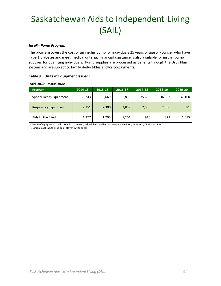#### *Insulin Pump Program*

The program covers the cost of an insulin pump for individuals 25 years of age or younger who have Type 1 diabetes and meet medical criteria. Financial assistance is also available for insulin pump supplies for qualifying individuals. Pump supplies are processed as benefits through the Drug Plan system and are subject to family deductibles and/or co-payments.

| April 2019 - March 2020      |         |         |         |         |         |         |
|------------------------------|---------|---------|---------|---------|---------|---------|
| <b>Program</b>               | 2014-15 | 2015-16 | 2016-17 | 2017-18 | 2018-19 | 2019-20 |
| Special Needs Equipment      | 35,243  | 35,669  | 35,835  | 35,688  | 36,322  | 37,100  |
| <b>Respiratory Equipment</b> | 2,351   | 2,300   | 2,857   | 2,588   | 2,856   | 3,081   |
| Aids to the Blind            | 1,277   | 1,295   | 1,201   | 910     | 823     | 1,075   |

#### <span id="page-30-0"></span>**Table 9 Units of Equipment Issued**<sup>1</sup>

1 A unit of equipment is a discrete loan item (e.g. wheelchair, walker, sask-a-pole, cushion, ventilator, CPAP machine, suction machine, talking book player, white cane)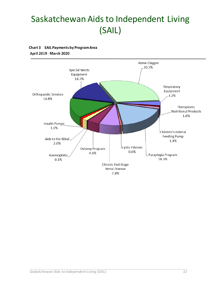<span id="page-31-0"></span>**Chart 3 SAIL Payments by Program Area**

April 2019 - March 2020

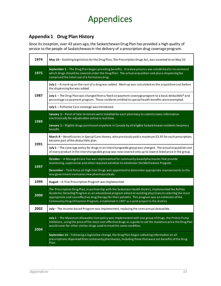### <span id="page-32-0"></span>**Appendix 1 Drug Plan History**

Since its inception, over 43 years ago, the Saskatchewan Drug Plan has provided a high quality of service to the people of Saskatchewan in the delivery of a prescription drug coverage program.

| 1974 | May 10 - Enabling legislation for the Drug Plan, The Prescription Drugs Act, was assented to on May 10.                                                                                                                                                                                                                                                                                                                   |
|------|---------------------------------------------------------------------------------------------------------------------------------------------------------------------------------------------------------------------------------------------------------------------------------------------------------------------------------------------------------------------------------------------------------------------------|
| 1975 | September 1-The Drug Plan began providing benefits. A review process was established to recommend<br>which drugs should be covered under the Drug Plan. The actual acquisition cost plus a dispensing fee<br>comprised the total cost of a Formulary drug.                                                                                                                                                                |
|      | July 1 - A mark-up on the cost of a drug was added. Mark-up was calculated on the acquisition cost before<br>the dispensing fee was added.                                                                                                                                                                                                                                                                                |
| 1987 | July 1 – The Drug Plan was changed from a fixed co-payment coverage program to a basic deductible* and<br>percentage co-payment program. Those residents entitled to special health benefits were exempted.                                                                                                                                                                                                               |
|      | July 1 - Palliative Care coverage was introduced.                                                                                                                                                                                                                                                                                                                                                                         |
| 1989 | January 1 - Point of Sale terminals were installed for each pharmacy to submit claims information<br>electronically for adjudication online in real time.                                                                                                                                                                                                                                                                 |
|      | January 1 - Eligible drugs purchased anywhere in Canada by all eligible Saskatchewan residents became a<br>benefit.                                                                                                                                                                                                                                                                                                       |
| 1991 | March 8 - Beneficiaries in Special Care Homes, who previously paid a maximum \$3.95 for each prescription,<br>became part of the deductible plan.                                                                                                                                                                                                                                                                         |
|      | July 1 - The coverage policy for drugs in an interchangeable group was changed. The actual acquisition cost<br>of every product in the interchangeable group was now covered only up to lowest listed price in the group.                                                                                                                                                                                                 |
| 1997 | October - A Managed Care Fee was implemented for community-based pharmacies that provide<br>monitoring, supervision and other required activities to administer the Methadone Program.                                                                                                                                                                                                                                    |
|      | December - Task Force on High Cost Drugs was appointed to determine appropriate improvements to the<br>way government evaluates new pharmaceuticals.                                                                                                                                                                                                                                                                      |
| 1999 | August - A Trial Prescription Program was implemented.                                                                                                                                                                                                                                                                                                                                                                    |
| 2000 | The Prescription Drug Plan, in partnership with the Saskatoon Health District, implemented the RxFiles<br>Academic Detailing Program as an educational program aimed at assisting physicians in selecting the most<br>appropriate and cost-effective drug therapy for their patients. This program was an extension of the<br>Community Drug Utilization Program, established in 1997 as a pilot project in the district. |
| 2002 | July - The Income-based Program was implemented, replacing the semi-annual deductible.                                                                                                                                                                                                                                                                                                                                    |
| 2004 | July 1 - The Maximum Allowable Cost policy was implemented with one group of drugs, the Proton Pump<br>Inhibitors, using the price of the most cost effective drugs as a guide to set the maximum price the Drug Plan<br>would cover for other similar drugs used to treatthe same condition.                                                                                                                             |
|      | September 15 - Following a legislative change, the Drug Plan began collecting information on all<br>prescriptions dispensed from community pharmacies, including those that were not benefits of the Drug<br>Plan.                                                                                                                                                                                                        |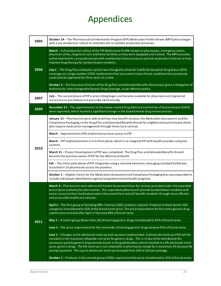| 2005 | October 24 - The Pharmaceutical Information Program (PIP) Medication Profile Viewer (MPV) phase began<br>with a pre-production rollout to selected sites to validate production processes.                                                                                                                                                                                                                                                                                                                                        |
|------|-----------------------------------------------------------------------------------------------------------------------------------------------------------------------------------------------------------------------------------------------------------------------------------------------------------------------------------------------------------------------------------------------------------------------------------------------------------------------------------------------------------------------------------|
| 2006 | March - Full production rollout of the PIP Medication Profile Viewer to pharmacies, emergency rooms,<br>physician clinics, long-term care and home facilities as they were equipped and trained. The MPV provides<br>authorized health care professionals with confidential shared access to patient medication histories to help<br>improve drug therapy for Saskatchewan residents.                                                                                                                                             |
|      | July 1 - The Drug Plan computer system was changed to allow for indefinite Exception Drug Status (EDS)<br>coverage on a large number of EDS medications that are used to treat chronic conditions that previously<br>could only be approved for three years at a time.                                                                                                                                                                                                                                                            |
|      | October 3 - The Executive Director of the Drug Plan and Extended Benefits Branch was given a Delegation of<br>Authority for Interchangeable Generic Drug Coverage, as per Ministry policy.                                                                                                                                                                                                                                                                                                                                        |
| 2007 | July - The second phase of PIP e-prescribing began and became available for physicians and registered<br>nurses/nurse practitioners to prescribe electronically.                                                                                                                                                                                                                                                                                                                                                                  |
| 2009 | December 21 - The appointments to the newly created Drug Advisory Committee of Saskatchewan (DACS)<br>were approved, which marked a significant change in the Saskatchewan drug review process.                                                                                                                                                                                                                                                                                                                                   |
|      | January 15 - Pharmacists were able to bill two new benefit services, the Medication Assessment and the<br>Compliance Packaging, to the Drug Plan and Extended Benefits Branch for eligible community-based clients<br>who require medication management through Home Care services.                                                                                                                                                                                                                                               |
|      | March - Approximately 99% of pharmacies have access to PIP.                                                                                                                                                                                                                                                                                                                                                                                                                                                                       |
|      | March - PIP Implementation is in its final phase, which is to integrate PIP with health provider computer<br>systems.                                                                                                                                                                                                                                                                                                                                                                                                             |
| 2010 | March 31 - Project Development of PIP was completed. The Drug Plan and Extended Benefits Branch<br>became the business owner of PIP for the Ministry of Health.                                                                                                                                                                                                                                                                                                                                                                   |
|      | Fall – The initial pilot phase of PIP integration using a national electronic messaging standard (CeRx) was<br>launched in 14 pharmacies across the province.                                                                                                                                                                                                                                                                                                                                                                     |
|      | October 1 - Eligible clients for the Medication Assessment and Compliance Packaging fees was expanded to<br>include individuals identified by regional outpatient mental health programs.                                                                                                                                                                                                                                                                                                                                         |
|      | March 4 - Pharmacists were able to bill Patient Assessment Fees for services provided under the expanded<br>prescriptive authority for pharmacists. This expanded authority will provide Saskatchewan residents with<br>easier access to their medications when they need them and will benefit residents through more efficient<br>and accessible health care services.                                                                                                                                                          |
|      | April 1 - The first group of Standing Offer Contract (SOC) products expired. Products in these former SOC<br>categories transitioned to 35% of the brand name price. The price requirement for first entry generic drug<br>submissions received after April 1st became 40% of brand name.                                                                                                                                                                                                                                         |
| 2011 | May $1 - A$ select group (fewer than 20) of existing generic drugs transitioned to 45% of brand name.                                                                                                                                                                                                                                                                                                                                                                                                                             |
|      | June 1 - The price requirement for the remainder of existing generic drugs became 45% of brand name.                                                                                                                                                                                                                                                                                                                                                                                                                              |
|      | June 1 - Changes to the wholesale mark-up and cap were implemented. A wholesale mark-up of 6% will be<br>included in the maximum allowable unit price for generic drugs. This is in lieu of the distribution fee<br>previously paid by generic drug manufacturers to drug wholesalers, which resulted in a 0% wholesale mark-<br>up on generic drugs. The 6% mark-up is non-rebatable to pharmacies except for a maximum 2% discount for<br>prompt payment. The cap on wholesale mark-up increased from \$40 to \$50 per package. |
|      | October 1 - Products in the second group of SOCs expired and the price transitioned to 35% of brand name.                                                                                                                                                                                                                                                                                                                                                                                                                         |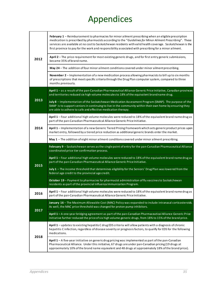| 2012 | February 1 - Reimbursement to pharmacies for minor ailment prescribing when an eligible prescription<br>medication is prescribed by pharmacists according to the "Guidelines for Minor Ailment Prescribing". These<br>services are available at no costto Saskatchewan residents with valid health coverage. Saskatchewan is the<br>first province to pay for the work and responsibility associated with prescribing for a minor ailment. |
|------|--------------------------------------------------------------------------------------------------------------------------------------------------------------------------------------------------------------------------------------------------------------------------------------------------------------------------------------------------------------------------------------------------------------------------------------------|
|      | April 2 - The price requirement for most existing generic drugs, and for first entry generic submissions,<br>became 35% of brand name.                                                                                                                                                                                                                                                                                                     |
|      | May 24 - The addition of four minor ailment conditions covered under minor ailment prescribing.                                                                                                                                                                                                                                                                                                                                            |
|      | November 2 - Implementation of a new medication process allowing pharmacists to bill up to six months<br>of prescriptions that meetspecific criteria through the Drug Plan computer system, compared to three<br>months previously.                                                                                                                                                                                                        |
|      | April 1 - as a result of the pan-Canadian Pharmaceutical Alliance Generic Price Initiative, Canadian provinces<br>and territories reduced six high volume molecules to 18% of the equivalent brand name drug.                                                                                                                                                                                                                              |
| 2013 | July 8 - Implementation of the Saskatchewan Medication Assessment Program (SMAP). The purpose of the<br>SMAP is to support seniors in continuing to live in the community within their own home by ensuring they<br>are able to adhere to safe and effective medication therapy.                                                                                                                                                           |
|      | April 1 - Four additional high volume molecules were reduced to 18% of the equivalent brand name drug as<br>part of the pan-Canadian Pharmaceutical Alliance Generic Price Initiative.                                                                                                                                                                                                                                                     |
| 2014 | April 1 - Implementation of a new Generic Tiered Pricing Framework which sets generic product prices upon<br>market entry, followed by a tiered price reduction as additional generic brands enter the market.                                                                                                                                                                                                                             |
|      | May 1 - The addition of eight minor ailment conditions covered under minor ailment prescribing.                                                                                                                                                                                                                                                                                                                                            |
|      |                                                                                                                                                                                                                                                                                                                                                                                                                                            |
|      | February 9 - Saskatchewan serves as the single point of entry for the pan-Canadian Pharmaceutical Alliance<br>coordinated price tier confirmation process.                                                                                                                                                                                                                                                                                 |
|      | April 1 - Four additional high volume molecules were reduced to 18% of the equivalent brand name drug as<br>part of the pan-Canadian Pharmaceutical Alliance Generic Price Initiative.                                                                                                                                                                                                                                                     |
| 2015 | July 1 - The income threshold that determines eligibility for the Seniors' Drug Plan was lowered from the<br>federal age credit to the provincial age credit.                                                                                                                                                                                                                                                                              |
|      | October 19 - Payment to pharmacies for pharmacist administration of flu vaccines to Saskatchewan<br>residents as part of the provincial Influenza Immunization Program.                                                                                                                                                                                                                                                                    |
| 2016 | April 1 - Four additional high volume molecules were reduced to 18% of the equivalent brand name drug as<br>part of the pan-Canadian Pharmaceutical Alliance Generic Price Initiative.                                                                                                                                                                                                                                                     |
|      | January 16 - The Maximum Allowable Cost (MAC) Policy was expanded to include intranasal corticosteroids.<br>As well, the MAC price threshold was changed for proton pump inhibitors.                                                                                                                                                                                                                                                       |
| 2017 | April 1 - A one-year bridging agreement as part of the pan-Canadian Pharmaceutical Alliance Generic Price<br>Initiative further reduced the price of six high volume generic drugs, from 18% to 15% of the brand price.                                                                                                                                                                                                                    |
| 2018 | April 1 - updates to existing hepatitis C drug EDS criteria will allow patients with a diagnosis of chronic<br>hepatitis C infection, regardless of disease severity or prognosis factors, to qualify for EDS for the following<br>medications.                                                                                                                                                                                            |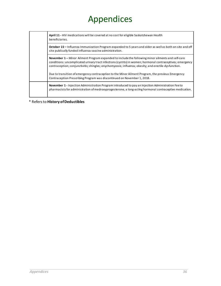| April 11 - HIV medications will be covered at no cost for eligible Saskatchewan Health<br>beneficiaries.                                                                                                                                                                                                                        |
|---------------------------------------------------------------------------------------------------------------------------------------------------------------------------------------------------------------------------------------------------------------------------------------------------------------------------------|
| October 22 – Influenza Immunization Program expanded to 5 years and older as well as both on-site and off<br>site publically funded influenza vaccine administration.                                                                                                                                                           |
| <b>November 1 – Minor Ailment Program expanded to include the following minor ailments and self-care</b><br>conditions: uncomplicated urinary tract infections (cystitis) in women; hormonal contraceptives; emergency<br>contraception; conjunctivitis; shingles; onychomycosis; influenza; obesity; and erectile dysfunction. |
| Due to transition of emergency contraception to the Minor Ailment Program, the previous Emergency<br>Contraception Prescribing Program was discontinued on November 1, 2018.                                                                                                                                                    |
| <b>November 1</b> - Injection Administration Program introduced to pay an Injection Administration Feeto<br>pharmacists for administration of medroxyprogesterone, a long-acting hormonal contraceptive medication.                                                                                                             |

\* Refers to **History of Deductibles**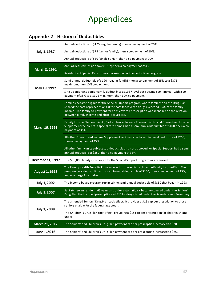### <span id="page-36-0"></span>**Appendix 2 History of Deductibles**

| July 1, 1987          | Annual deductible of \$125 (regular family), then a co-payment of 20%.                                                                                                                                                                                                                                                                  |
|-----------------------|-----------------------------------------------------------------------------------------------------------------------------------------------------------------------------------------------------------------------------------------------------------------------------------------------------------------------------------------|
|                       | Annual deductible of \$75 (senior family), then a co-payment of 20%.                                                                                                                                                                                                                                                                    |
|                       | Annual deductible of \$50 (single senior), then a co-payment of 20%.                                                                                                                                                                                                                                                                    |
| March 8, 1991         | Annual deductibles as above (1987), then a co-payment of 25%.                                                                                                                                                                                                                                                                           |
|                       | Residents of Special Care Homes became part of the deductible program.                                                                                                                                                                                                                                                                  |
| May 19, 1992          | Semi-annual deductible of \$190 (regular family), then a co-payment of 35% to a \$375<br>maximum, then 10% co-payment.                                                                                                                                                                                                                  |
|                       | Single senior and senior family deductibles at 1987 level but became semi-annual, with a co-<br>payment of 35% to a \$375 maximum, then 10% co-payment.                                                                                                                                                                                 |
|                       | Families became eligible for the Special Support program, where families and the Drug Plan<br>shared the cost of prescriptions, if the cost for covered drugs exceeded 3.4% of the family<br>income. The family co-payment for each covered prescription was set based on the relation<br>between family income and eligible drug cost. |
| March 19, 1993        | Family Income Plan recipients, Saskatchewan Income Plan recipients, and Guaranteed Income<br>Supplement recipients in special care homes, had a semi-annual deductible of \$100, then a co-<br>payment of 35%.                                                                                                                          |
|                       | All other Guaranteed Income Supplement recipients had a semi-annual deductible of \$200,<br>then a co-payment of 35%.                                                                                                                                                                                                                   |
|                       | All other family units subject to a deductible and not approved for Special Support had a semi-<br>annual deductible of \$850, then a co-payment of 35%.                                                                                                                                                                                |
| December 1, 1997      | The \$50,000 family income cap for the Special Support Program was removed.                                                                                                                                                                                                                                                             |
| <b>August 1, 1998</b> | The Family Health Benefits Program was introduced to replace the Family Income Plan. The<br>program provided adults with a semi-annual deductible of \$100, then a co-payment of 35%,<br>and no charge for children.                                                                                                                    |
| July 1, 2002          | The income-based program replaced the semi-annual deductible of \$850 that began in 1993.                                                                                                                                                                                                                                               |
| <b>July 1, 2007</b>   | Saskatchewan residents 65 years and older automatically became covered under the Seniors'<br>Drug Plan that capped prescriptions at \$15 for drugs listed under the Saskatchewan Formulary.                                                                                                                                             |
|                       | The amended Seniors' Drug Plan took effect. It provides a \$15 cap per prescription to those<br>seniors eligible for the federal age credit.                                                                                                                                                                                            |
| <b>July 1, 2008</b>   | The Children's Drug Plan took effect, providing a \$15 cap per prescription for children 14 and<br>under.                                                                                                                                                                                                                               |
| March 21, 2012        | The Seniors' and Children's Drug Plan payment cap per prescription increased to \$20.                                                                                                                                                                                                                                                   |
| June 1, 2016          | The Seniors' and Children's Drug Plan payment cap per prescription increased to \$25.                                                                                                                                                                                                                                                   |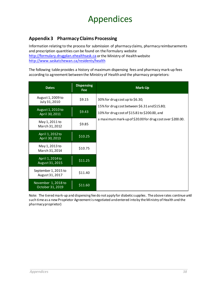#### <span id="page-37-0"></span>**Appendix 3 Pharmacy Claims Processing**

Information relating to the process for submission of pharmacy claims, pharmacy reimbursements and prescription quantities can be found on the Formulary website [http://formulary.drugplan.ehealthsask.ca](http://formulary.drugplan.ehealthsask.ca/) or the Ministry of Health website <http://www.saskatchewan.ca/residents/health>

The following table provides a history of maximum dispensing fees and pharmacy mark-up fees according to agreement between the Ministry of Health and the pharmacy proprietors:

| <b>Dates</b>                            | <b>Dispensing</b><br><b>Fee</b> | Mark-Up                                                                                                                                                     |
|-----------------------------------------|---------------------------------|-------------------------------------------------------------------------------------------------------------------------------------------------------------|
| August 1, 2009 to<br>July 31, 2010      | \$9.15                          | 30% for drug cost up to \$6.30;                                                                                                                             |
| August 1, 2010 to<br>April 30, 2011     | \$9.43                          | 15% for drug cost between \$6.31 and \$15.80;<br>10% for drug cost of \$15.81 to \$200.00, and<br>a maximum mark-up of \$20.00 for drug cost over \$200.00. |
| May 1, 2011 to<br>March 31, 2012        | \$9.85                          |                                                                                                                                                             |
| April 1, 2012 to<br>April 30, 2013      | \$10.25                         |                                                                                                                                                             |
| May 1, 2013 to<br>March 31, 2014        | \$10.75                         |                                                                                                                                                             |
| April 1, 2014 to<br>August 31, 2015     | \$11.25                         |                                                                                                                                                             |
| September 1, 2015 to<br>August 31, 2017 | \$11.40                         |                                                                                                                                                             |
| November 1, 2018 to<br>October 31, 2019 | \$11.60                         |                                                                                                                                                             |

Note: The tiered mark-up and dispensing fee do not apply for diabetic supplies. The above rates continue until such time as a new Proprietor Agreement is negotiated and entered into by the Ministry of Health and the pharmacy proprietor)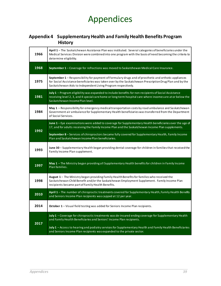#### <span id="page-38-0"></span>**Appendix 4 Supplementary Health and Family Health Benefits Program History**

| 1966 | April 1 - The Saskatchewan Assistance Plan was instituted. Several categories of beneficiaries under the<br>Medical Services Division were combined into one program with the basis of need becoming the criteria to<br>determine eligibility.                                     |
|------|------------------------------------------------------------------------------------------------------------------------------------------------------------------------------------------------------------------------------------------------------------------------------------|
| 1968 | September 1 - Coverage for refractions was moved to Saskatchewan Medical Care Insurance.                                                                                                                                                                                           |
| 1975 | September 1 - Responsibility for payment of Formulary drugs and of prosthetic and orthotic appliances<br>for Social Assistance beneficiaries was taken over by the Saskatchewan Prescription Drug Plan and by the<br>Saskatchewan Aids to Independent Living Program respectively. |
| 1981 | July 1 - Program eligibility was expanded to include benefits for non-recipients of Social Assistance<br>receiving level 2, 3, and 4 special care home or long-term hospital care where incomes are ator below the<br>Saskatchewan Income Plan level.                              |
| 1984 | <b>May 1</b> – Responsibility for emergency medical transportation costs by road ambulance and Saskatchewan<br>Government air ambulance for Supplementary Health beneficiaries was transferred from the Department<br>of Social Services.                                          |
|      | June 1 - Eye examinations were added to coverage for Supplementary Health beneficiaries over the age of<br>17, and for adults receiving the Family Income Plan and the Saskatchewan Income Plan supplements.                                                                       |
| 1992 | September 8 - Services of chiropractors became fully covered for Supplementary Health, Family Income<br>Plan and Saskatchewan Income Plan beneficiaries.                                                                                                                           |
| 1993 | June 30 - Supplementary Health began providing dental coverage for children in families that received the<br>Family Income Plan supplement.                                                                                                                                        |
| 1997 | May 1 - The Ministry began providing all Supplementary Health benefits for children in Family Income<br>Plan families.                                                                                                                                                             |
| 1998 | August 1 - The Ministry began providing Family Health Benefits for families who received the<br>Saskatchewan Child Benefit and/or the Saskatchewan Employment Supplement. Family Income Plan<br>recipients became part of Family Health Benefits.                                  |
| 2010 | April 1 - The number of chiropractic treatments covered for Supplementary Health, Family Health Benefits<br>and Seniors Income Plan recipients was capped at 12 per year.                                                                                                          |
| 2014 | October 1 - Visual field testing was added for Seniors Income Plan recipients.                                                                                                                                                                                                     |
|      | July 1 - Coverage for chiropractic treatments was de-insured ending coverage for Supplementary Health<br>and Family Health Beneficiaries and Seniors' Income Plan recipients.                                                                                                      |
| 2017 | July 1 - Access to hearing and podiatry services for Supplementary Health and Family Health Beneficiaries<br>and Seniors Income Plan recipients was expanded to the private sector.                                                                                                |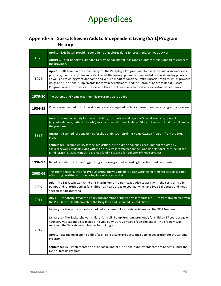### <span id="page-39-0"></span>**Appendix 5 Saskatchewan Aids to Independent Living (SAIL) Program History**

|         | April 1 - SAIL began providing benefits to eligible residents for prosthetic/orthotic devices.                                                                                                                                                                                                                                                                                                                                                                                                                                                     |
|---------|----------------------------------------------------------------------------------------------------------------------------------------------------------------------------------------------------------------------------------------------------------------------------------------------------------------------------------------------------------------------------------------------------------------------------------------------------------------------------------------------------------------------------------------------------|
| 1975    | August 1 - SAIL benefits expanded to provide equipment loans and equipment repairs for all residents of<br>the province.                                                                                                                                                                                                                                                                                                                                                                                                                           |
| 1976    | April 1 - SAIL took over responsibility for: the Paraplegia Program, which covers the cost of incontinence<br>products, medical supplies and select rehabilitation equipment recommended by the attending physician<br>as well as providing grants for home and vehicle modifications; the Cystic Fibrosis Program, which provides<br>drugs and nutritional supplements for certain beneficiaries; and the Chronic End Stage Renal Disease<br>Program, which provides assistance with the cost of necessary medications for certain beneficiaries. |
| 1979-80 | The Ostomy and Home Haemophilia programs were added.                                                                                                                                                                                                                                                                                                                                                                                                                                                                                               |
| 1984-85 | Coverage expanded to include aids and services required by Saskatchewan residents living with vision loss.                                                                                                                                                                                                                                                                                                                                                                                                                                         |
|         | June - The responsibility for the acquisition, distribution and repair of Special Needs Equipment<br>(e.g. wheelchairs, patient lifts, etc.) was transferred to SaskAbilities. SAIL continues to fund the full cost of<br>the program.                                                                                                                                                                                                                                                                                                             |
| 1987    | August - Assumed responsibilities for the administration of the Home Oxygen Program from the Drug<br>Plan.                                                                                                                                                                                                                                                                                                                                                                                                                                         |
|         | September - responsibility for the acquisition, distribution and repair of equipment required by<br>Saskatchewan residents living with vision loss was transferred to the Canadian National Institute for the<br>Blind (CNIB). SAIL continues to provide funding to CNIB for delivery of these services.                                                                                                                                                                                                                                           |
| 1996-97 | Benefits under the Home Oxygen Program were granted according to certain medical criteria.                                                                                                                                                                                                                                                                                                                                                                                                                                                         |
| 2003-04 | The Therapeutic Nutritional Products Program was added to assist with the incremental cost associated<br>with using nutritional products in place of a regular diet.                                                                                                                                                                                                                                                                                                                                                                               |
| 2007    | July - The Saskatchewan Children's Insulin Pump Program was added to assist with the costs of insulin<br>pumps and related supplies for children 17 years of age or younger who have Type 1 diabetes and meet<br>specific medical criteria.                                                                                                                                                                                                                                                                                                        |
| 2011    | July 1 - Responsibility for the policy and operation of the Phenylketonuria (PKU) Program transferred from<br>the Population Health Branch to the Drug Plan and Extended Benefits Branch.                                                                                                                                                                                                                                                                                                                                                          |
|         | January 1 - Low protein food was added as a benefit for clients registered on the PKU Program.                                                                                                                                                                                                                                                                                                                                                                                                                                                     |
| 2012    | January 1 - The Saskatchewan Children's Insulin Pump Program, previously for children 17 years of age or<br>younger, was expanded to include individuals who are 25 years of age and under. The program was<br>renamed the Saskatchewan Insulin Pump Program.                                                                                                                                                                                                                                                                                      |
|         | April 1 - Expansion of online billing for eligible ostomy products and supplies covered under the Ostomy<br>Program.                                                                                                                                                                                                                                                                                                                                                                                                                               |
|         | September 25 - Implementation of online billing for nutritional supplements that are benefits under the<br>Cystic Fibrosis Program.                                                                                                                                                                                                                                                                                                                                                                                                                |